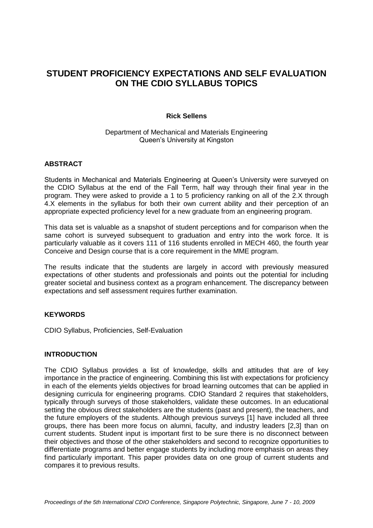# **STUDENT PROFICIENCY EXPECTATIONS AND SELF EVALUATION ON THE CDIO SYLLABUS TOPICS**

### **Rick Sellens**

### Department of Mechanical and Materials Engineering Queen's University at Kingston

## **ABSTRACT**

Students in Mechanical and Materials Engineering at Queen's University were surveyed on the CDIO Syllabus at the end of the Fall Term, half way through their final year in the program. They were asked to provide a 1 to 5 proficiency ranking on all of the 2.X through 4.X elements in the syllabus for both their own current ability and their perception of an appropriate expected proficiency level for a new graduate from an engineering program.

This data set is valuable as a snapshot of student perceptions and for comparison when the same cohort is surveyed subsequent to graduation and entry into the work force. It is particularly valuable as it covers 111 of 116 students enrolled in MECH 460, the fourth year Conceive and Design course that is a core requirement in the MME program.

The results indicate that the students are largely in accord with previously measured expectations of other students and professionals and points out the potential for including greater societal and business context as a program enhancement. The discrepancy between expectations and self assessment requires further examination.

### **KEYWORDS**

CDIO Syllabus, Proficiencies, Self-Evaluation

## **INTRODUCTION**

The CDIO Syllabus provides a list of knowledge, skills and attitudes that are of key importance in the practice of engineering. Combining this list with expectations for proficiency in each of the elements yields objectives for broad learning outcomes that can be applied in designing curricula for engineering programs. CDIO Standard 2 requires that stakeholders, typically through surveys of those stakeholders, validate these outcomes. In an educational setting the obvious direct stakeholders are the students (past and present), the teachers, and the future employers of the students. Although previous surveys [1] have included all three groups, there has been more focus on alumni, faculty, and industry leaders [2,3] than on current students. Student input is important first to be sure there is no disconnect between their objectives and those of the other stakeholders and second to recognize opportunities to differentiate programs and better engage students by including more emphasis on areas they find particularly important. This paper provides data on one group of current students and compares it to previous results.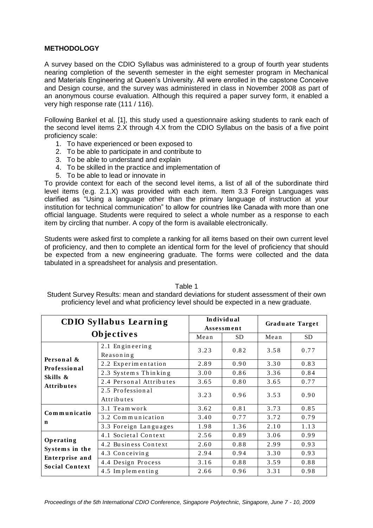# **METHODOLOGY**

A survey based on the CDIO Syllabus was administered to a group of fourth year students nearing completion of the seventh semester in the eight semester program in Mechanical and Materials Engineering at Queen's University. All were enrolled in the capstone Conceive and Design course, and the survey was administered in class in November 2008 as part of an anonymous course evaluation. Although this required a paper survey form, it enabled a very high response rate (111 / 116).

Following Bankel et al. [1], this study used a questionnaire asking students to rank each of the second level items 2.X through 4.X from the CDIO Syllabus on the basis of a five point proficiency scale:

- 1. To have experienced or been exposed to
- 2. To be able to participate in and contribute to
- 3. To be able to understand and explain
- 4. To be skilled in the practice and implementation of
- 5. To be able to lead or innovate in

To provide context for each of the second level items, a list of all of the subordinate third level items (e.g. 2.1.X) was provided with each item. Item 3.3 Foreign Languages was clarified as "Using a language other than the primary language of instruction at your institution for technical communication" to allow for countries like Canada with more than one official language. Students were required to select a whole number as a response to each item by circling that number. A copy of the form is available electronically.

Students were asked first to complete a ranking for all items based on their own current level of proficiency, and then to complete an identical form for the level of proficiency that should be expected from a new engineering graduate. The forms were collected and the data tabulated in a spreadsheet for analysis and presentation.

| i anie 1                                                                                 |
|------------------------------------------------------------------------------------------|
| Student Survey Results: mean and standard deviations for student assessment of their own |
| proficiency level and what proficiency level should be expected in a new graduate.       |

 $\equiv$   $\cdots$ 

|                                         | <b>CDIO Syllabus Learning</b>  |      | Individual<br>Assessment |      | <b>Graduate Target</b> |
|-----------------------------------------|--------------------------------|------|--------------------------|------|------------------------|
|                                         | Objectives                     | Mean | <b>SD</b>                | Mean | <b>SD</b>              |
| Personal &                              | 2.1 Engineering<br>Reasoning   | 3.23 | 0.82                     | 3.58 | 0.77                   |
| Professional                            | 2.2 Experimentation            | 2.89 | 0.90                     | 3.30 | 0.83                   |
| Skills &                                | 2.3 Systems Thinking           | 3.00 | 0.86                     | 3.36 | 0.84                   |
| <b>Attributes</b>                       | 2.4 Personal Attributes        | 3.65 | 0.80                     | 3.65 | 0.77                   |
|                                         | 2.5 Professional<br>Attributes | 3.23 | 0.96                     | 3.53 | 0.90                   |
| Communicatio                            | 3.1 Team work                  | 3.62 | 0.81                     | 3.73 | 0.85                   |
|                                         | 3.2 Communication              | 3.40 | 0.77                     | 3.72 | 0.79                   |
| n                                       | 3.3 Foreign Languages          | 1.98 | 1.36                     | 2.10 | 1.13                   |
|                                         | 4.1 Societal Context           | 2.56 | 0.89                     | 3.06 | 0.99                   |
| Operating                               | 4.2 Business Context           | 2.60 | 0.88                     | 2.99 | 0.93                   |
| Systems in the                          | 4.3 Conceiving                 | 2.94 | 0.94                     | 3.30 | 0.93                   |
| Enterprise and<br><b>Social Context</b> | 4.4 Design Process             | 3.16 | 0.88                     | 3.59 | 0.88                   |
|                                         | 4.5 Implementing               | 2.66 | 0.96                     | 3.31 | 0.98                   |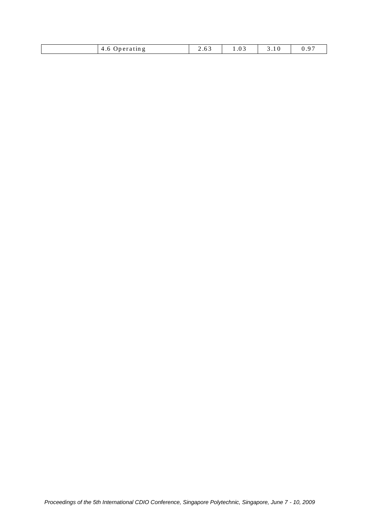| eratin g<br>$\sqrt{1}$<br>T.0 | .<br>. | 0.3<br>. | . . |
|-------------------------------|--------|----------|-----|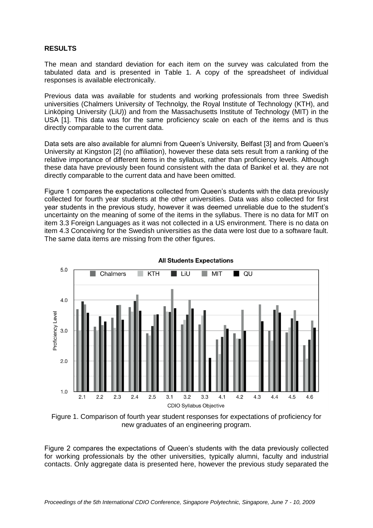## **RESULTS**

The mean and standard deviation for each item on the survey was calculated from the tabulated data and is presented in Table 1. A copy of the spreadsheet of individual responses is available electronically.

Previous data was available for students and working professionals from three Swedish universities (Chalmers University of Technolgy, the Royal Institute of Technology (KTH), and Linköping University (LiU)) and from the Massachusetts Institute of Technology (MIT) in the USA [1]. This data was for the same proficiency scale on each of the items and is thus directly comparable to the current data.

Data sets are also available for alumni from Queen's University, Belfast [3] and from Queen's University at Kingston [2] (no affiliation), however these data sets result from a ranking of the relative importance of different items in the syllabus, rather than proficiency levels. Although these data have previously been found consistent with the data of Bankel et al. they are not directly comparable to the current data and have been omitted.

Figure 1 compares the expectations collected from Queen's students with the data previously collected for fourth year students at the other universities. Data was also collected for first year students in the previous study, however it was deemed unreliable due to the student's uncertainty on the meaning of some of the items in the syllabus. There is no data for MIT on item 3.3 Foreign Languages as it was not collected in a US environment. There is no data on item 4.3 Conceiving for the Swedish universities as the data were lost due to a software fault. The same data items are missing from the other figures.



Figure 1. Comparison of fourth year student responses for expectations of proficiency for new graduates of an engineering program.

Figure 2 compares the expectations of Queen's students with the data previously collected for working professionals by the other universities, typically alumni, faculty and industrial contacts. Only aggregate data is presented here, however the previous study separated the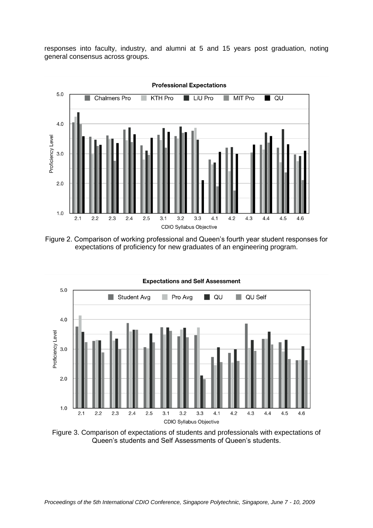responses into faculty, industry, and alumni at 5 and 15 years post graduation, noting general consensus across groups.



Figure 2. Comparison of working professional and Queen's fourth year student responses for expectations of proficiency for new graduates of an engineering program.



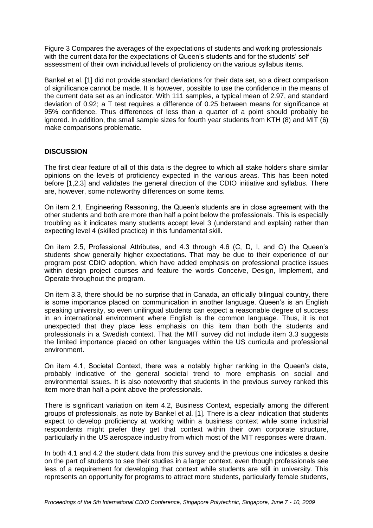Figure 3 Compares the averages of the expectations of students and working professionals with the current data for the expectations of Queen's students and for the students' self assessment of their own individual levels of proficiency on the various syllabus items.

Bankel et al. [1] did not provide standard deviations for their data set, so a direct comparison of significance cannot be made. It is however, possible to use the confidence in the means of the current data set as an indicator. With 111 samples, a typical mean of 2.97, and standard deviation of 0.92; a T test requires a difference of 0.25 between means for significance at 95% confidence. Thus differences of less than a quarter of a point should probably be ignored. In addition, the small sample sizes for fourth year students from KTH (8) and MIT (6) make comparisons problematic.

# **DISCUSSION**

The first clear feature of all of this data is the degree to which all stake holders share similar opinions on the levels of proficiency expected in the various areas. This has been noted before [1,2,3] and validates the general direction of the CDIO initiative and syllabus. There are, however, some noteworthy differences on some items.

On item 2.1, Engineering Reasoning, the Queen's students are in close agreement with the other students and both are more than half a point below the professionals. This is especially troubling as it indicates many students accept level 3 (understand and explain) rather than expecting level 4 (skilled practice) in this fundamental skill.

On item 2.5, Professional Attributes, and 4.3 through 4.6 (C, D, I, and O) the Queen's students show generally higher expectations. That may be due to their experience of our program post CDIO adoption, which have added emphasis on professional practice issues within design project courses and feature the words Conceive, Design, Implement, and Operate throughout the program.

On item 3.3, there should be no surprise that in Canada, an officially bilingual country, there is some importance placed on communication in another language. Queen's is an English speaking university, so even unilingual students can expect a reasonable degree of success in an international environment where English is the common language. Thus, it is not unexpected that they place less emphasis on this item than both the students and professionals in a Swedish context. That the MIT survey did not include item 3.3 suggests the limited importance placed on other languages within the US curricula and professional environment.

On item 4.1, Societal Context, there was a notably higher ranking in the Queen's data, probably indicative of the general societal trend to more emphasis on social and environmental issues. It is also noteworthy that students in the previous survey ranked this item more than half a point above the professionals.

There is significant variation on item 4.2, Business Context, especially among the different groups of professionals, as note by Bankel et al. [1]. There is a clear indication that students expect to develop proficiency at working within a business context while some industrial respondents might prefer they get that context within their own corporate structure, particularly in the US aerospace industry from which most of the MIT responses were drawn.

In both 4.1 and 4.2 the student data from this survey and the previous one indicates a desire on the part of students to see their studies in a larger context, even though professionals see less of a requirement for developing that context while students are still in university. This represents an opportunity for programs to attract more students, particularly female students,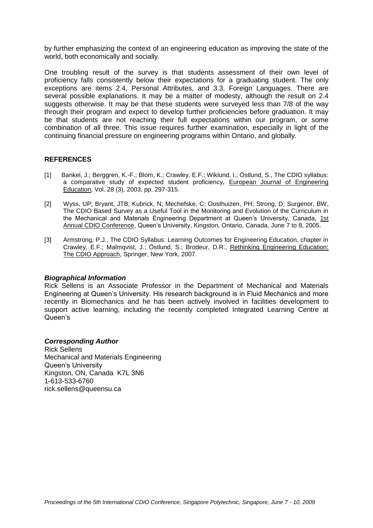by further emphasizing the context of an engineering education as improving the state of the world, both economically and socially.

One troubling result of the survey is that students assessment of their own level of proficiency falls consistently below their expectations for a graduating student. The only exceptions are items 2.4, Personal Attributes, and 3.3, Foreign Languages. There are several possible explanations. It may be a matter of modesty, although the result on 2.4 suggests otherwise. It may be that these students were surveyed less than 7/8 of the way through their program and expect to develop further proficiencies before graduation. It may be that students are not reaching their full expectations within our program, or some combination of all three. This issue requires further examination, especially in light of the continuing financial pressure on engineering programs within Ontario, and globally.

## **REFERENCES**

- [1] Bankel, J.; Berggren, K.-F.; Blom, K.; Crawley, E.F.; Wiklund, I.; Östlund, S., The CDIO syllabus: a comparative study of expected student proficiency, European Journal of Engineering Education, Vol. 28 (3), 2003, pp. 297-315.
- [2] Wyss, UP; Bryant, JTB; Kubrick, N; Mechefske, C; Oosthuizen, PH; Strong, D; Surgenor, BW, The CDIO Based Survey as a Useful Tool in the Monitoring and Evolution of the Curriculum in the Mechanical and Materials Engineering Department at Queen's University, Canada, 1st Annual CDIO Conference, Queen's University, Kingston, Ontario, Canada, June 7 to 8, 2005.
- [3] Armstrong, P.J., The CDIO Syllabus: Learning Outcomes for Engineering Education, chapter in Crawley, E.F.; Malmqvist, J.; Östlund, S.; Brodeur, D.R., Rethinking Engineering Education: The CDIO Approach, Springer, New York, 2007.

#### *Biographical Information*

Rick Sellens is an Associate Professor in the Department of Mechanical and Materials Engineering at Queen's University. His research background is in Fluid Mechanics and more recently in Biomechanics and he has been actively involved in facilities development to support active learning, including the recently completed Integrated Learning Centre at Queen's

# *Corresponding Author*

Rick Sellens Mechanical and Materials Engineering Queen's University Kingston, ON, Canada K7L 3N6 1-613-533-6760 rick.sellens@queensu.ca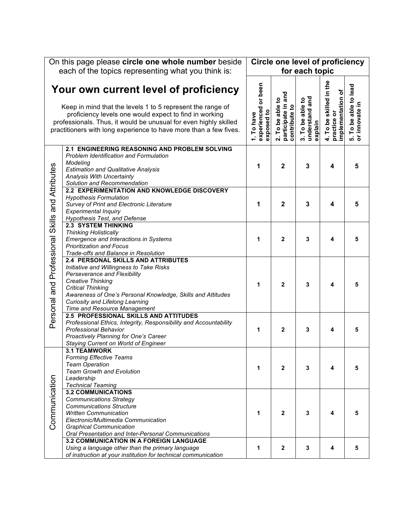|                           | On this page please circle one whole number beside                                                                                                                                                                                                                                                              |                                                 | <b>Circle one level of proficiency</b>                       |                                               |                                                            |                                                          |
|---------------------------|-----------------------------------------------------------------------------------------------------------------------------------------------------------------------------------------------------------------------------------------------------------------------------------------------------------------|-------------------------------------------------|--------------------------------------------------------------|-----------------------------------------------|------------------------------------------------------------|----------------------------------------------------------|
|                           | each of the topics representing what you think is:                                                                                                                                                                                                                                                              |                                                 |                                                              | for each topic                                |                                                            |                                                          |
|                           | Your own current level of proficiency<br>Keep in mind that the levels 1 to 5 represent the range of<br>proficiency levels one would expect to find in working<br>professionals. Thus, it would be unusual for even highly skilled<br>practitioners with long experience to have more than a few fives.          | experienced or been<br>exposed to<br>1. To have | and<br>2. To be able to<br>participate in a<br>contribute to | understand and<br>3. To be able to<br>explain | 4. To be skilled in the<br>mplementation of<br>practice or | To be able to lead<br>5. To be able to<br>or innovate in |
|                           | 2.1 ENGINEERING REASONING AND PROBLEM SOLVING<br>Problem Identification and Formulation<br>Modeling<br><b>Estimation and Qualitative Analysis</b><br>Analysis With Uncertainty<br>Solution and Recommendation                                                                                                   | 1                                               | $\mathbf{2}$                                                 | 3                                             | 4                                                          | 5                                                        |
| and Attributes            | 2.2 EXPERIMENTATION AND KNOWLEDGE DISCOVERY<br><b>Hypothesis Formulation</b><br>Survey of Print and Electronic Literature<br><b>Experimental Inquiry</b><br><b>Hypothesis Test, and Defense</b>                                                                                                                 | 1                                               | 2                                                            | 3                                             | 4                                                          | 5                                                        |
| <b>Skills</b>             | <b>2.3 SYSTEM THINKING</b><br><b>Thinking Holistically</b><br>Emergence and Interactions in Systems<br><b>Prioritization and Focus</b><br>Trade-offs and Balance in Resolution                                                                                                                                  | 1                                               | $\mathbf{2}$                                                 | 3                                             | 4                                                          | 5                                                        |
| Personal and Professional | 2.4 PERSONAL SKILLS AND ATTRIBUTES<br>Initiative and Willingness to Take Risks<br>Perseverance and Flexibility<br><b>Creative Thinking</b><br><b>Critical Thinking</b><br>Awareness of One's Personal Knowledge, Skills and Attitudes<br><b>Curiosity and Lifelong Learning</b><br>Time and Resource Management | 1                                               | $\mathbf{2}$                                                 | 3                                             | 4                                                          | 5                                                        |
|                           | 2.5 PROFESSIONAL SKILLS AND ATTITUDES<br>Professional Ethics, Integrity, Responsibility and Accountability<br><b>Professional Behavior</b><br>Proactively Planning for One's Career<br>Staying Current on World of Engineer                                                                                     | 1                                               | $\mathbf{2}$                                                 | 3                                             | 4                                                          | 5                                                        |
|                           | <b>3.1 TEAMWORK</b><br><b>Forming Effective Teams</b><br><b>Team Operation</b><br><b>Team Growth and Evolution</b><br>Leadership<br><b>Technical Teaming</b>                                                                                                                                                    | 1                                               | $\mathbf{2}$                                                 | 3                                             | 4                                                          | 5                                                        |
| Communication             | <b>3.2 COMMUNICATIONS</b><br><b>Communications Strategy</b><br><b>Communications Structure</b><br><b>Written Communication</b><br>Electronic/Multimedia Communication<br><b>Graphical Communication</b><br>Oral Presentation and Inter-Personal Communications                                                  | 1                                               | $\mathbf{2}$                                                 | 3                                             | 4                                                          | 5                                                        |
|                           | <b>3.2 COMMUNICATION IN A FOREIGN LANGUAGE</b><br>Using a language other than the primary language<br>of instruction at your institution for technical communication                                                                                                                                            | 1                                               | $\boldsymbol{2}$                                             | 3                                             | 4                                                          | 5                                                        |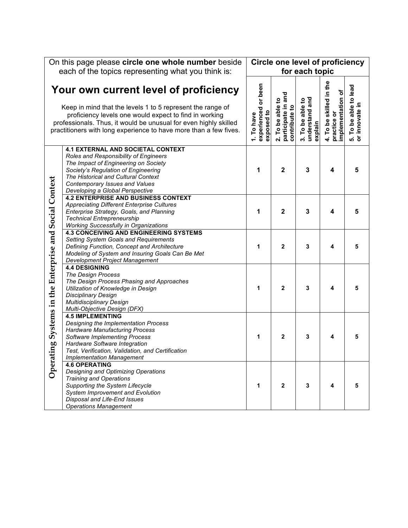|                                              | On this page please circle one whole number beside                                                                                                                                                                                                                                                     |                                                 | <b>Circle one level of proficiency</b>                  |                                               |                                                             |                                                          |
|----------------------------------------------|--------------------------------------------------------------------------------------------------------------------------------------------------------------------------------------------------------------------------------------------------------------------------------------------------------|-------------------------------------------------|---------------------------------------------------------|-----------------------------------------------|-------------------------------------------------------------|----------------------------------------------------------|
|                                              | each of the topics representing what you think is:                                                                                                                                                                                                                                                     |                                                 |                                                         | for each topic                                |                                                             |                                                          |
|                                              | Your own current level of proficiency<br>Keep in mind that the levels 1 to 5 represent the range of<br>proficiency levels one would expect to find in working<br>professionals. Thus, it would be unusual for even highly skilled<br>practitioners with long experience to have more than a few fives. | experienced or been<br>exposed to<br>1. To have | 2. To be able to<br>participate in and<br>contribute to | understand and<br>3. To be able to<br>explain | 4. To be skilled in the<br>implementation of<br>practice or | To be able to lead<br>5. To be able to<br>or innovate in |
|                                              | <b>4.1 EXTERNAL AND SOCIETAL CONTEXT</b><br>Roles and Responsibility of Engineers<br>The Impact of Engineering on Society<br>Society's Regulation of Engineering<br>The Historical and Cultural Context<br>Contemporary Issues and Values<br>Developing a Global Perspective                           | 1                                               | $\mathbf{2}$                                            | $\mathbf{3}$                                  | 4                                                           | 5                                                        |
|                                              | <b>4.2 ENTERPRISE AND BUSINESS CONTEXT</b><br><b>Appreciating Different Enterprise Cultures</b><br>Enterprise Strategy, Goals, and Planning<br><b>Technical Entrepreneurship</b><br><b>Working Successfully in Organizations</b>                                                                       | 1                                               | $\overline{\mathbf{2}}$                                 | 3                                             | 4                                                           | 5                                                        |
|                                              | <b>4.3 CONCEIVING AND ENGINEERING SYSTEMS</b><br>Setting System Goals and Requirements<br>Defining Function, Concept and Architecture<br>Modeling of System and Insuring Goals Can Be Met<br>Development Project Management                                                                            | 1                                               | $\mathbf 2$                                             | 3                                             | 4                                                           | 5                                                        |
| Systems in the Enterprise and Social Context | <b>4.4 DESIGNING</b><br><b>The Design Process</b><br>The Design Process Phasing and Approaches<br>Utilization of Knowledge in Design<br><b>Disciplinary Design</b><br><b>Multidisciplinary Design</b><br>Multi-Objective Design (DFX)                                                                  | 1                                               | $\mathbf{2}$                                            | 3                                             | 4                                                           | 5                                                        |
| ting                                         | <b>4.5 IMPLEMENTING</b><br>Designing the Implementation Process<br><b>Hardware Manufacturing Process</b><br><b>Software Implementing Process</b><br>Hardware Software Integration<br>Test, Verification, Validation, and Certification<br><b>Implementation Management</b>                             | 1                                               | $\overline{2}$                                          | 3                                             | 4                                                           | 5                                                        |
| Opera                                        | <b>4.6 OPERATING</b><br>Designing and Optimizing Operations<br><b>Training and Operations</b><br>Supporting the System Lifecycle<br>System Improvement and Evolution<br>Disposal and Life-End Issues<br><b>Operations Management</b>                                                                   | 1                                               | $\mathbf{2}$                                            | 3                                             | 4                                                           | 5                                                        |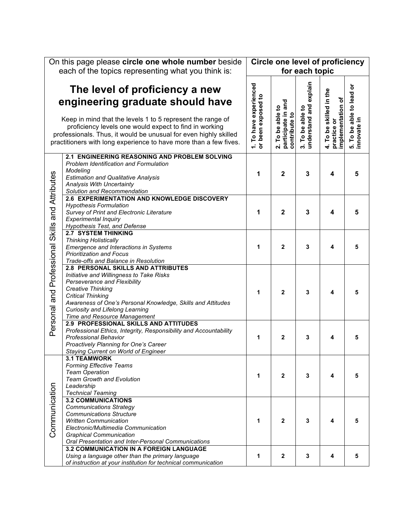|                                                 | On this page please circle one whole number beside                                                                                                                                                                                                                                                                                  |                                              | <b>Circle one level of proficiency</b>                       |                                               |                                                             |                                           |
|-------------------------------------------------|-------------------------------------------------------------------------------------------------------------------------------------------------------------------------------------------------------------------------------------------------------------------------------------------------------------------------------------|----------------------------------------------|--------------------------------------------------------------|-----------------------------------------------|-------------------------------------------------------------|-------------------------------------------|
|                                                 | each of the topics representing what you think is:                                                                                                                                                                                                                                                                                  |                                              |                                                              | for each topic                                |                                                             |                                           |
|                                                 | The level of proficiency a new<br>engineering graduate should have<br>Keep in mind that the levels 1 to 5 represent the range of<br>proficiency levels one would expect to find in working<br>professionals. Thus, it would be unusual for even highly skilled<br>practitioners with long experience to have more than a few fives. | 1. To have experienced<br>or been exposed to | and<br>2. To be able to<br>participate in a<br>contribute to | explain<br>3. To be able to<br>understand and | 4. To be skilled in the<br>implementation of<br>practice or | ŏ<br>5. To be able to lead<br>innovate in |
|                                                 | 2.1 ENGINEERING REASONING AND PROBLEM SOLVING<br><b>Problem Identification and Formulation</b><br>Modeling<br><b>Estimation and Qualitative Analysis</b><br>Analysis With Uncertainty<br>Solution and Recommendation                                                                                                                | 1                                            | $\mathbf{2}$                                                 | 3                                             | 4                                                           | 5                                         |
|                                                 | 2.6 EXPERIMENTATION AND KNOWLEDGE DISCOVERY<br><b>Hypothesis Formulation</b><br>Survey of Print and Electronic Literature<br><b>Experimental Inquiry</b><br><b>Hypothesis Test, and Defense</b>                                                                                                                                     | 1                                            | $\overline{2}$                                               | 3                                             | 4                                                           | 5                                         |
|                                                 | <b>2.7 SYSTEM THINKING</b><br><b>Thinking Holistically</b><br>Emergence and Interactions in Systems<br><b>Prioritization and Focus</b><br>Trade-offs and Balance in Resolution                                                                                                                                                      | 1                                            | $\mathbf{2}$                                                 | 3                                             | 4                                                           | 5                                         |
| Personal and Professional Skills and Attributes | 2.8 PERSONAL SKILLS AND ATTRIBUTES<br>Initiative and Willingness to Take Risks<br>Perseverance and Flexibility<br>Creative Thinking<br><b>Critical Thinking</b><br>Awareness of One's Personal Knowledge, Skills and Attitudes<br><b>Curiosity and Lifelong Learning</b><br>Time and Resource Management                            | 1                                            | $\mathbf{2}$                                                 | 3                                             | 4                                                           | 5                                         |
|                                                 | 2.9 PROFESSIONAL SKILLS AND ATTITUDES<br>Professional Ethics, Integrity, Responsibility and Accountability<br><b>Professional Behavior</b><br>Proactively Planning for One's Career<br>Staying Current on World of Engineer                                                                                                         | 1                                            | $\mathbf{2}$                                                 | 3                                             | 4                                                           | 5                                         |
|                                                 | <b>3.1 TEAMWORK</b><br><b>Forming Effective Teams</b><br><b>Team Operation</b><br><b>Team Growth and Evolution</b><br>Leadership<br><b>Technical Teaming</b>                                                                                                                                                                        | 1                                            | $\mathbf{2}$                                                 | 3                                             | 4                                                           | 5                                         |
| Communication                                   | <b>3.2 COMMUNICATIONS</b><br><b>Communications Strategy</b><br><b>Communications Structure</b><br><b>Written Communication</b><br>Electronic/Multimedia Communication<br><b>Graphical Communication</b><br>Oral Presentation and Inter-Personal Communications                                                                      | 1                                            | $\mathbf{2}$                                                 | 3                                             | 4                                                           | 5                                         |
|                                                 | <b>3.2 COMMUNICATION IN A FOREIGN LANGUAGE</b><br>Using a language other than the primary language<br>of instruction at your institution for technical communication                                                                                                                                                                | 1                                            | $\mathbf{2}$                                                 | 3                                             | 4                                                           | 5                                         |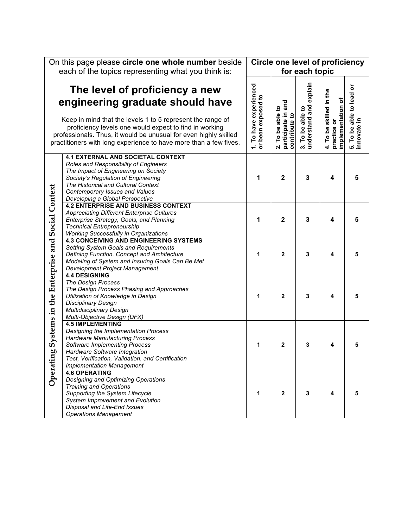|                                              | On this page please circle one whole number beside                                                                                                                                                                                                                           |                                              | <b>Circle one level of proficiency</b> |                                            |                                                             |                                         |
|----------------------------------------------|------------------------------------------------------------------------------------------------------------------------------------------------------------------------------------------------------------------------------------------------------------------------------|----------------------------------------------|----------------------------------------|--------------------------------------------|-------------------------------------------------------------|-----------------------------------------|
|                                              | each of the topics representing what you think is:                                                                                                                                                                                                                           |                                              |                                        | for each topic                             |                                                             |                                         |
|                                              |                                                                                                                                                                                                                                                                              |                                              |                                        |                                            |                                                             |                                         |
|                                              | The level of proficiency a new                                                                                                                                                                                                                                               |                                              |                                        |                                            |                                                             |                                         |
|                                              | engineering graduate should have                                                                                                                                                                                                                                             |                                              | and                                    |                                            |                                                             |                                         |
|                                              | Keep in mind that the levels 1 to 5 represent the range of<br>proficiency levels one would expect to find in working<br>professionals. Thus, it would be unusual for even highly skilled<br>practitioners with long experience to have more than a few fives.                | 1. To have experienced<br>or been exposed to | 2. To be able to<br>participate in a   | understand and explain<br>3. To be able to | 4. To be skilled in the<br>implementation of<br>practice or | 5. To be able to lead or<br>innovate in |
|                                              | <b>4.1 EXTERNAL AND SOCIETAL CONTEXT</b><br>Roles and Responsibility of Engineers<br>The Impact of Engineering on Society<br>Society's Regulation of Engineering<br>The Historical and Cultural Context<br>Contemporary Issues and Values<br>Developing a Global Perspective | 1                                            | $\mathbf{2}$                           | 3                                          | 4                                                           | 5                                       |
|                                              | <b>4.2 ENTERPRISE AND BUSINESS CONTEXT</b><br><b>Appreciating Different Enterprise Cultures</b><br>Enterprise Strategy, Goals, and Planning<br><b>Technical Entrepreneurship</b><br><b>Working Successfully in Organizations</b>                                             | 1                                            | $\mathbf{2}$                           | 3                                          | 4                                                           | 5                                       |
|                                              | <b>4.3 CONCEIVING AND ENGINEERING SYSTEMS</b><br>Setting System Goals and Requirements<br>Defining Function, Concept and Architecture<br>Modeling of System and Insuring Goals Can Be Met<br>Development Project Management                                                  | 1                                            | $\mathbf{2}$                           | 3                                          | 4                                                           | 5                                       |
| Systems in the Enterprise and Social Context | <b>4.4 DESIGNING</b><br><b>The Design Process</b><br>The Design Process Phasing and Approaches<br>Utilization of Knowledge in Design<br><b>Disciplinary Design</b><br><b>Multidisciplinary Design</b><br>Multi-Objective Design (DFX)                                        | 1                                            | $\mathbf{2}$                           | 3                                          | 4                                                           | 5                                       |
| 60                                           | <b>4.5 IMPLEMENTING</b><br>Designing the Implementation Process<br><b>Hardware Manufacturing Process</b><br><b>Software Implementing Process</b><br>Hardware Software Integration<br>Test, Verification, Validation, and Certification<br><b>Implementation Management</b>   | 1                                            | $\mathbf{2}$                           | 3                                          | 4                                                           | 5                                       |
| Operatin                                     | <b>4.6 OPERATING</b><br>Designing and Optimizing Operations<br><b>Training and Operations</b><br>Supporting the System Lifecycle<br>System Improvement and Evolution<br>Disposal and Life-End Issues<br><b>Operations Management</b>                                         | 1                                            | $\mathbf{2}$                           | 3                                          | 4                                                           | 5                                       |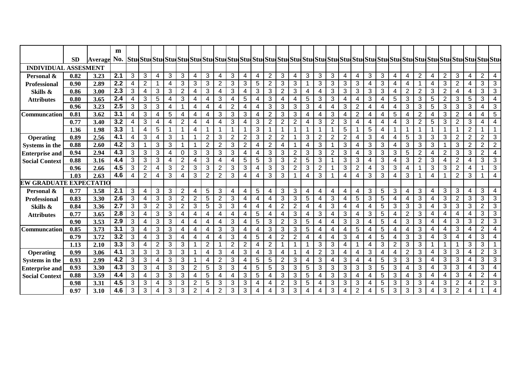|                             | <b>SD</b> |             | m   |   |                |                |   |                |                         |                |                |                |                |   |                |                |                |                |                |                |   |                |   |                 |   |                |                |                |                |                |                |                |                         |
|-----------------------------|-----------|-------------|-----|---|----------------|----------------|---|----------------|-------------------------|----------------|----------------|----------------|----------------|---|----------------|----------------|----------------|----------------|----------------|----------------|---|----------------|---|-----------------|---|----------------|----------------|----------------|----------------|----------------|----------------|----------------|-------------------------|
|                             |           | Average No. |     |   |                |                |   |                |                         |                |                |                |                |   |                |                |                |                |                |                |   |                |   |                 |   |                |                |                |                |                |                |                |                         |
| <b>INDIVIDUAL ASSESMENT</b> |           |             |     |   |                |                |   |                |                         |                |                |                |                |   |                |                |                |                |                |                |   |                |   |                 |   |                |                |                |                |                |                |                |                         |
| Personal &                  | 0.82      | 3.23        | 2.1 | 3 | 3              | 4              | 3 | 3              | 4                       | 3              | 4              | 3              | 4              | 4 | $\overline{2}$ | 3              | $\overline{4}$ | 3              | 3              | 3              | 4 | $\overline{4}$ | 3 | 3               | 4 | 4              | $\overline{2}$ | $\overline{4}$ | $\overline{2}$ | $\mathbf{3}$   | 4              | $\overline{2}$ | 4                       |
| <b>Professional</b>         | 0.90      | 2.89        | 2.2 | 4 | 2              | 1              | 4 | 3              | 3                       | 3              | $\overline{2}$ | 3              | 3              | 5 | 2              | 3              | 3              |                | 3              | 3              | 3 | 3              | 4 | 3               | 4 | 4              |                | 4              | 3              | 2              | 4              | 3              | 3                       |
| Skills &                    | 0.86      | 3.00        | 2.3 | 3 | 4              | 3              | 3 | $\overline{2}$ | 4                       | 3              | 4              | 3              | $\overline{4}$ | 3 | 3              | $\overline{2}$ | 3              | $\overline{4}$ | 4              | 3              | 3 | 3              | 3 | 3               | 4 | $\overline{2}$ | $\overline{2}$ | 3              | $\overline{2}$ | 4              | 4              | 3              | $\mathbf{3}$            |
| <b>Attributes</b>           | 0.80      | 3.65        | 2.4 | 4 | 3              | 5              | 4 | 3              | 4                       | 4              | 3              | 4              | 5              | 4 | 3              | 4              | 4              | 5              | 3              | 3              | 4 | 4              | 3 | 4               | 5 | 3              | 3              | 5              | $\overline{2}$ | 3              | 5              | 3              | $\overline{4}$          |
|                             | 0.96      | 3.23        | 2.5 | 3 | 3              | 3              | 4 |                | 4                       | $\overline{4}$ | 4              | $\overline{2}$ | 4              | 4 | 3              | 3              | 3              | 3              | 4              | 4              | 3 | 2              | 4 | 4               | 4 | 3              | 3              | 5              | 3              | 3              | 3              | 4              | 3                       |
| Communcation                | 0.81      | 3.62        | 3.1 | 4 | 3              | 4              | 5 | 4              | 4                       | 4              | 3              | 3              | 3              | 4 | $\overline{2}$ | 3              | 3              | 4              | 4              | 3              | 4 | 2              | 4 | 4               | 5 | 4              | $\overline{2}$ | 4              | $\mathbf{3}$   | $\overline{2}$ | 4              | 4              | $\sqrt{5}$              |
|                             | 0.77      | 3.40        | 3.2 | 4 | 3              | 4              | 4 | $\overline{2}$ | 4                       | 4              | 4              | 3              | 4              | 3 | 2              | 2              | $\overline{2}$ | 4              | 3              | $\overline{2}$ | 3 | 4              | 4 | 4               | 4 | 3              | $\overline{2}$ | 5              | 3              | $\overline{2}$ | 3              | 4              | 4                       |
|                             | 1.36      | 1.98        | 3.3 |   | 4              | 5              |   |                | 4                       |                | -1             |                |                | 3 |                | 1              |                |                |                | -1             | 5 |                | 5 | 4               |   | 1              |                |                |                | 1              | $\overline{2}$ |                |                         |
| Operating                   | 0.89      | 2.56        | 4.1 | 4 | 3              | $\overline{4}$ | 3 |                | 1                       | $\overline{2}$ | 3              | $\overline{2}$ | $\overline{2}$ | 3 | 2              | 2              |                | 3              | $\overline{2}$ | $\overline{2}$ | 2 | 4              | 3 | 4               | 4 | 5              | 3              | 3              | 3              | $\overline{2}$ | 2              | $\overline{2}$ | 3                       |
| Systems in the              | 0.88      | 2.60        | 4.2 | 3 |                | 3              | 3 |                | 1                       | $\overline{2}$ | $\overline{2}$ | 3              | $\overline{2}$ | 4 | 2              | 4              |                | 4              | 3              | -1             | 3 | 4              | 3 | 3               | 4 | 3              | 3              | 3              |                | 3              | $\overline{2}$ | $\overline{2}$ | $\overline{2}$          |
| <b>Enterprise and</b>       | 0.94      | 2.94        | 4.3 | 3 | 3              | 3              | 4 | 0              | 3                       | 3              | 3              | 3              | 4              | 4 | 3              | 3              | $\overline{2}$ | 3              | 3              | $\overline{2}$ | 3 | $\overline{4}$ | 3 | 3               | 3 | 5              | 2              | 4              | $\overline{2}$ | 3              | 3              | 2              | 4                       |
| <b>Social Context</b>       | 0.88      | 3.16        | 4.4 | 3 | 3              | 3              | 4 | $\overline{2}$ | 4                       | 3              | 4              | 4              | 5              | 5 | 3              | 3              | $\overline{2}$ | 5              | 3              | -1             | 3 | 3              | 4 | 3               | 4 | 3              | $\overline{2}$ | 3              | $\overline{4}$ | $\overline{2}$ | 4              | 3              | 3                       |
|                             | 0.96      | 2.66        | 4.5 | 3 | $\overline{2}$ | 4              | 3 | $\overline{2}$ | 3                       | 3              | $\overline{2}$ | 3              | 3              | 4 | 3              | 3              | $\overline{2}$ | 3              | $\overline{2}$ | -1             | 3 | $\overline{2}$ | 4 | 3               | 3 | 4              |                | 3              | $\mathbf{3}$   | $\overline{2}$ | 4              |                | $\mathfrak{S}$          |
|                             | 1.03      | 2.63        | 4.6 | 4 | $\overline{2}$ | 4              | 3 | 4              | 3                       | $\overline{2}$ | $\overline{2}$ | 3              | 4              | 4 | 3              | 3              |                | 4              | 3              | -1             | 4 | 4              | 3 | 3               | 4 | 3              |                | 4              |                | 2              | 3              |                | $\overline{4}$          |
| EW GRADUATE EXPECTATIO      |           |             |     |   |                |                |   |                |                         |                |                |                |                |   |                |                |                |                |                |                |   |                |   |                 |   |                |                |                |                |                |                |                |                         |
| Personal &                  | 0.77      | 3.58        | 2.1 | 3 | 4              | 3              | 3 | $\overline{2}$ | $\overline{\mathbf{4}}$ | 5              | 3              | 4              | 4              | 5 | $\overline{4}$ | 3              | 3              | 4              | 4              | 4              | 4 | 4              | 3 | $\sqrt{5}$      | 3 | 4              | 3              | $\overline{4}$ | 3              | 3              | 4              | 3              | 4                       |
| <b>Professional</b>         | 0.83      | 3.30        | 2.6 | 3 | 4              | 3              | 3 | $\overline{2}$ | $\overline{2}$          | 5              | $\overline{2}$ | 3              | 4              | 4 | 4              | 3              | 3              | 5              | 4              | 3              | 4 | 5              | 3 | 5               | 4 | 4              | 3              | 4              | $\mathbf{3}$   | $\overline{2}$ | 3              | 3              | 3                       |
| Skills &                    | 0.84      | 3.36        | 2.7 | 3 | 3              | $\overline{2}$ | 3 | $\overline{2}$ | 3                       | 5              | 3              | 3              | 4              | 4 | 4              | 2              | 2              | $\overline{4}$ | 4              | 3              | 4 | 4              | 4 | 5               | 3 | 3              | 3              | 4              | 3              | 3              | 3              | $\overline{2}$ | 3                       |
| <b>Attributes</b>           | 0.77      | 3.65        | 2.8 | 3 | 4              | 3              | 3 | $\overline{4}$ | 4                       | $\overline{4}$ | 4              | 4              | 4              | 5 | $\overline{4}$ | 4              | 3              | 4              | 3              | 4              | 3 | 4              | 3 | $\sqrt{5}$      | 4 | $\overline{2}$ | 3              | $\overline{4}$ | $\overline{4}$ | 4              | 4              | 3              | 3                       |
|                             | 0.90      | 3.53        | 2.9 | 3 | 4              | 3              | 3 | 4              | 4                       | 4              | 4              | 3              | 4              | 5 | 3              | $\overline{2}$ | 3              | 5              | 4              | 4              | 3 | 3              | 4 | $\sqrt{5}$      | 4 | 3              | 3              | 4              | 4              | 3              | ن              | $\overline{2}$ | $\overline{3}$          |
| <b>Communcation</b>         | 0.85      | 3.73        | 3.1 | 3 | 4              | 3              | 3 | 4              | 4                       | $\overline{4}$ | 3              | 3              | 4              | 4 | 3              | 3              | 3              | 5              | 4              | 4              | 4 | 5              | 4 | 5               |   | 4              | 3              | 4              | 4              | 3              | 4              | $\overline{2}$ | 4                       |
|                             | 0.79      | 3.72        | 3.2 | 3 | 4              | 3              | 3 | $\overline{4}$ | 4                       | 4              | 4              | 3              | 4              | 5 | 4              | 2              | $\overline{2}$ | 4              | 4              | 4              | 3 | $\overline{4}$ | 4 | $\sqrt{5}$      | 4 | 3              | 3              | 4              | 3              | $\overline{4}$ | 4              | 3              | 4                       |
|                             | 1.13      | 2.10        | 3.3 | 3 | 4              | $\overline{2}$ | 3 | 3              | 1                       | $\overline{2}$ | $\mathbf 1$    | $\overline{2}$ | $\overline{2}$ | 4 | 2              | 1              | 1              |                | 3              | 3              | 4 |                | 4 | 3               | 2 | 3              | 3              |                | -1             | 1              | 3              | 3              |                         |
| <b>Operating</b>            | 0.99      | 3.06        | 4.1 | 3 | 3              | 3              | 3 | 3              | 1                       | $\overline{4}$ | 3              | 4              | 3              | 4 | 3              | 4              |                | 4              | $\overline{2}$ | 3              | 4 | $\overline{4}$ | 3 | 4               | 4 | 2              | 3              | $\overline{4}$ | 3              | 3              | 4              | $\overline{2}$ | 3                       |
| Systems in the              | 0.93      | 2.99        | 4.2 | 3 | 3              | 4              | 3 | 3              | 1                       | 4              | $\overline{2}$ | 3              | 4              | 5 | 5              | $\overline{2}$ | 3              | 4              | 3              | 4              | 3 | 4              | 4 | $5\phantom{.0}$ | 3 | 3              | 3              | 4              | 3              | 3              | 4              | 3              | 3                       |
| <b>Enterprise and</b>       | 0.93      | 3.30        | 4.3 | 3 | 3              | 4              | 3 | 3              | $\overline{2}$          | 5              | 3              | 3              | 4              | 5 | 5              | 3              | 3              | 5              | 3              | 3              | 3 | 3              | 3 | 5               | 3 | 4              | 3              | 4              | $\mathbf{3}$   | 3              | 4              | 3              | $\overline{\mathbf{4}}$ |
| <b>Social Context</b>       | 0.88      | 3.59        | 4.4 | 3 | 4              | 3              | 3 | 3              | 4                       | 5              | 4              | 4              | 3              | 5 | 4              | 3              | 3              | 5              | 4              | 3              | 3 | 4              | 4 | 5               | 3 | 4              | 3              | 4              | 4              | 3              | 4              | $\overline{2}$ | 4                       |
|                             | 0.98      | 3.31        | 4.5 | 3 | 3              | 4              | 3 | 3              | $\overline{2}$          | 5              | 3              | 3              | 3              | 4 | 4              | 2              | 3              | 5              | 4              | 3              | 3 | 3              | 4 | 5               | 3 | 3              | 3              | 4              | 3              | 2              | 4              | 2              | 3                       |
|                             | 0.97      | 3.10        | 4.6 | 3 | 3              | 4              | 3 | 3              | $\overline{2}$          | 4              | $\overline{2}$ | 3              | 3              | 4 | 4              | 3              | 3              | 4              | 4              | 3              | 4 | $\overline{2}$ | 4 | 5               | 3 | 3              | 3              | 4              | 3              | $\overline{2}$ | 4              |                | $\overline{\mathbf{4}}$ |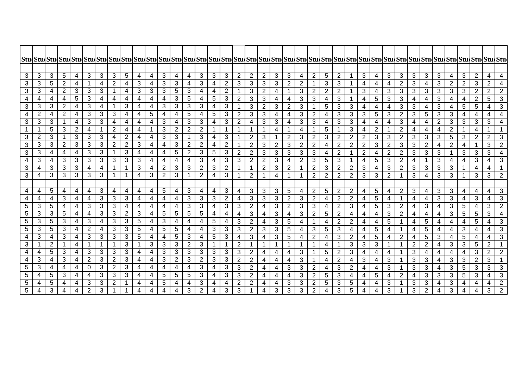| 3               | 3              | 3                            | $\overline{5}$          | $\overline{4}$          | 3                     | $\overline{3}$          | $\overline{3}$                   | 5                                     | $\overline{4}$ | 4              | 3                                         | $\overline{a}$               | $\overline{4}$           | $\overline{3}$                   | 3                            | 3              | $\overline{2}$    | $\overline{2}$                   | $\overline{2}$           | $\mathfrak{B}$          | $\overline{3}$      | $\overline{4}$ | $\overline{2}$                   | 5                   | 2                 | $\mathbf{1}$                 | $\mathbf{3}$   | $\overline{4}$           | 3                        | 3                   | 3              | 3                   | 3                 | 4                       | $\mathbf{3}$                     | $\overline{2}$                 | $\overline{\mathbf{4}}$ | $\overline{4}$      |
|-----------------|----------------|------------------------------|-------------------------|-------------------------|-----------------------|-------------------------|----------------------------------|---------------------------------------|----------------|----------------|-------------------------------------------|------------------------------|--------------------------|----------------------------------|------------------------------|----------------|-------------------|----------------------------------|--------------------------|-------------------------|---------------------|----------------|----------------------------------|---------------------|-------------------|------------------------------|----------------|--------------------------|--------------------------|---------------------|----------------|---------------------|-------------------|-------------------------|----------------------------------|--------------------------------|-------------------------|---------------------|
| 3               | 3              | 5                            | $\overline{2}$          | 4                       | 1                     | 4                       | $\overline{2}$                   | 4                                     | 3              | 4              | 3                                         | 3                            | 4                        | 3                                | 4                            | 2              | 3                 | 3                                | 3                        | $\sqrt{3}$              | 2                   | $\overline{2}$ |                                  | 3                   | 3                 |                              | 4              | 4                        | 4                        | $\overline{2}$      | 3              | 4                   | 3                 | $\overline{2}$          | $\overline{2}$                   | 3                              | $\overline{2}$          | $\overline{4}$      |
| 3               | 3              | 4                            | $\overline{2}$          | 3                       | 3                     | 3                       | $\mathbf{1}$                     | 4                                     | 3              | 3              | 3                                         | 5                            | 3                        | 4                                | 4                            | 2              | $\mathbf 1$       | 3                                | $\overline{2}$           | $\overline{4}$          | $\mathbf 1$         | 3              | $\overline{2}$                   | $\overline{2}$      | $\overline{2}$    | $\mathbf 1$                  | 3              | 4                        | 3                        | $\mathbf{3}$        | 3 <sup>1</sup> | 3                   | 3                 | 3                       | 3                                | $\overline{2}$                 | $\overline{2}$          | $\overline{2}$      |
| 4               | 4              | 4                            | $\overline{4}$          | $\sqrt{5}$              | $\overline{3}$        | $\overline{4}$          | $\overline{4}$                   | 4                                     | $\overline{4}$ | 4              | 4                                         | 3                            | $\sqrt{5}$               | $\overline{4}$                   | 5                            | 3              | $\overline{2}$    | $\mathbf{3}$                     | 3                        | $\overline{\mathbf{4}}$ | $\overline{4}$      | 3              | $\mathbf{3}$                     | 4                   | 3                 | $\mathbf 1$                  | 4              | 5                        | 3                        | 3                   | 4              | 4                   | 3                 | $\overline{4}$          | $\overline{4}$                   | $\overline{2}$                 | 5                       | $\overline{3}$      |
| 3               | 3              | 3                            | $\overline{2}$          | 4                       | 3                     | 4                       | $\mathbf 1$                      | 3                                     | 4              | 4              | 3                                         | 3                            | 3                        | 3                                | 4                            | 3              | 1                 | 3                                | $\overline{2}$           | $\sqrt{3}$              | $\overline{2}$      | 3              |                                  | 5                   | 3                 | 3                            | 4              | 4                        | 4                        | 3                   | 3              | 4                   | 3                 | $\overline{4}$          | 5                                | 5                              | 4                       | 3                   |
| 4               | $\overline{2}$ | 4                            | $\overline{2}$          | 4                       | 3                     | 3                       | 3                                | 4                                     | 4              | 5              | 4                                         | $\overline{4}$               | 5                        | 4                                | 5                            | 3              | $\overline{2}$    | 3                                | 3                        | $\overline{4}$          | 4                   | 3              | $\overline{2}$                   | 4                   | 3                 | 3                            | 3              | $\sqrt{5}$               | $\sqrt{3}$               | $\overline{2}$      | 3 <sup>1</sup> | 5                   | $\mathbf{3}$      | $\mathbf{3}$            | 4                                | $\overline{\mathbf{4}}$        | 4                       | 4                   |
| 3               | 3              | 3                            | -1                      | $\overline{4}$          | $\overline{3}$        | $\overline{3}$          | $\overline{4}$                   | 4                                     | 4              | 4              | 3                                         | $\overline{a}$               | 3                        | 3                                | 4                            | 3              | $\overline{2}$    | $\overline{4}$                   | $\sqrt{3}$               | $\sqrt{3}$              | $\overline{4}$      | 3              | $\mathbf{3}$                     | $\overline{4}$      | 3                 | $\ensuremath{\mathsf{3}}$    | 4              | $\overline{4}$           | $\overline{\mathcal{A}}$ | $\mathfrak{S}$      | 4              | 4                   | $\sqrt{2}$        | 3                       | $\mathbf{3}$                     | 3                              | $\mathbf{3}$            |                     |
|                 |                | 5                            | 3                       | $\overline{2}$          | 4                     | 1                       | $\overline{2}$                   | 4                                     | 4              |                | 3                                         | $\overline{2}$               | $\overline{2}$           | $\overline{2}$                   |                              |                | $\mathbf 1$       |                                  |                          | $\overline{\mathbf{4}}$ |                     | $\overline{4}$ |                                  | 5                   |                   | 3                            | 4              | $\overline{2}$           | $\mathbf{1}$             | $\overline{2}$      | 4              | 4                   | 4                 | $\overline{2}$          |                                  | 4                              |                         |                     |
| 3               | $\overline{2}$ | 3                            | $\mathbf 1$             | 3                       | 3                     | 3                       | 4                                | $\overline{2}$                        | 4              | 4              | 3                                         | 3                            | $\mathbf{1}$             | 3                                | 4                            | 3              | 1                 | $\overline{2}$                   | 3                        |                         | $\overline{2}$      | 3              | $\overline{2}$                   | 3                   | $\overline{2}$    | $\overline{2}$               | $\mathbf{2}$   | 3                        | 3                        | $\overline{2}$      | 3              | 3                   | 3                 | 5                       | 3                                | 2                              | $\overline{2}$          | 3                   |
| 3               | 3              | 3                            | $\overline{2}$          | 3                       | 3                     | 3                       | $\overline{2}$                   | $\overline{2}$                        | 3              | 4              | 4                                         | 3                            | $\overline{2}$           | $\overline{2}$                   | 4                            | 2              | $\mathbf{1}$      | $\overline{2}$                   | 3                        | $\overline{2}$          | 3                   | $\overline{2}$ | $\overline{2}$                   | 4                   | $\overline{2}$    | $\overline{2}$               | $\overline{2}$ | 3                        | $\overline{2}$           | 3                   | 3              | $\overline{c}$      | 4                 | $\overline{2}$          | $\overline{\mathbf{4}}$          | $\mathbf 1$                    | 3                       | $\overline{2}$      |
| 3               | 3              | 4                            | 4                       | 4                       | 3                     | 3                       | $\mathbf 1$                      | 3                                     | 4              | 4              | 4                                         | $\sqrt{5}$                   | $\overline{2}$           | 3                                | 5                            | 3              | $\overline{2}$    | 2                                | 3                        | $\sqrt{3}$              | 3                   | 3              | 3                                | 4                   | $\overline{2}$    | $\mathbf{1}$                 | $\overline{2}$ | 4                        | 2                        | $\overline{2}$      | 3              | 3                   | 3                 |                         | 3                                | 3                              | 3                       | 4                   |
| 4               | 3              | 4                            | 3                       | 3                       | 3                     | 3                       | 3                                | 3                                     | 3              | 4              | 4                                         | 4                            | $\overline{4}$           | 3                                | 4                            | 3              | 3                 | $\overline{2}$                   | $\overline{2}$           | $\sqrt{3}$              | 4                   | $\overline{2}$ | 3                                | 5                   | 3                 | -1                           | 4              | 5                        | $\sqrt{3}$               | $\overline{2}$      | 4              |                     | 3                 | 4                       | 4                                | 3                              | 4                       | 3                   |
| 3               | 4              | 3                            | $\overline{3}$          | $\overline{3}$          | $\overline{4}$        | $\overline{\mathbf{4}}$ | $\overline{1}$                   | $\overline{1}$                        | $\overline{3}$ | 4              | $\overline{2}$                            | $\overline{3}$               | $\overline{3}$           | $\overline{2}$                   | 3                            | $\overline{2}$ | $\mathbf 1$       | $\mathbf 1$                      | $\sqrt{2}$               | $\mathfrak{B}$          | $\sqrt{2}$          | 1              | $\overline{2}$                   | 3                   | $\overline{2}$    | $\overline{2}$               | $\mathbf{3}$   | $\overline{\mathbf{4}}$  | $\overline{3}$           | $\overline{2}$      | 3              | $\mathfrak{B}$      | $\overline{3}$    | $\overline{3}$          | $\overline{\mathbf{1}}$          | $\overline{4}$                 | 4                       | $\mathbf{1}$        |
| 3               | 4              | 3                            | 3                       | 3                       | 3                     | 3                       | $\mathbf{1}$                     | $\overline{1}$                        | 4              | $\mathbf{3}$   | $\overline{2}$                            | 3                            | $\mathbf 1$              | $\overline{2}$                   | $\overline{4}$               | $\overline{3}$ | $\mathbf{1}$      | $\overline{2}$                   | $\mathbf 1$              | $\overline{\mathbf{4}}$ | $\mathbf{1}$        |                | $\overline{2}$                   | $\overline{2}$      | $\overline{2}$    | $\overline{2}$               | 3              | 3                        | 2                        | $\mathbf 1$         | 3              | 4                   | 3                 | 3                       | -1                               | 3                              | 3                       | $\overline{2}$      |
|                 |                |                              |                         |                         |                       |                         |                                  |                                       |                |                |                                           |                              |                          |                                  |                              |                |                   |                                  |                          |                         |                     |                |                                  |                     |                   |                              |                |                          |                          |                     |                |                     |                   |                         |                                  |                                |                         |                     |
| 4               | 4              | 5                            | $\overline{4}$          | 4                       | 4                     | 3                       | 4                                | 4                                     | 4              | 4              | 5                                         | 4                            | 3                        | 4                                | 4                            | $\mathbf{3}$   | 4                 | 3                                | 3                        | 3                       | $\overline{5}$      | $\overline{4}$ | $\overline{2}$                   | 5                   | $\overline{2}$    | $\overline{2}$               | 4              | $\overline{5}$           | 4                        | $\overline{2}$      | $\mathbf{3}$   | 4                   | 3                 | 3                       | $\overline{4}$                   | 4                              | 4                       | 3                   |
| $\overline{4}$  | 4              | $\overline{4}$               | 3                       | 4                       | $\overline{4}$        | $\overline{3}$          | $\overline{3}$                   | $\overline{3}$                        | $\overline{4}$ | 4              | $\overline{4}$                            | $\overline{4}$               | $\overline{3}$           | $\overline{3}$                   | 3                            | $\overline{2}$ | 4                 | $\mathbf{3}$                     | $\mathbf{3}$             | $\sqrt{3}$              | $\overline{2}$      | $\mathbf{3}$   | $\overline{2}$                   | 4                   | $\overline{2}$    | $\sqrt{2}$                   | 4              | 5                        | 4                        | $\mathbf 1$         | 4              | 4                   | $\mathbf{3}$      | 3                       | $\overline{4}$                   | $\mathbf{3}$                   | 4                       | $\overline{3}$      |
| $\overline{5}$  | 3              | 5                            | $\overline{4}$          | 4                       | 3                     | 3                       | 3                                | 4                                     | 4              | 4              | 4                                         | $\overline{4}$               | $\mathbf{3}$             | 3                                | 4                            | 3              | 3                 | $\overline{2}$                   | $\overline{\mathbf{4}}$  | $\mathfrak{B}$          | $\overline{2}$      | 3              | 3                                | 4                   | $\overline{2}$    | 3                            | 4              | 5                        | 3                        | $\overline{2}$      | 4              | 3                   | 4                 | $\mathbf{3}$            | $\overline{5}$                   | $\overline{\mathbf{4}}$        | 3                       | $\overline{2}$      |
| 5               | 3              | 3                            | 5                       | $\overline{4}$          | $\overline{4}$        | $\overline{3}$          | $\overline{3}$                   | 2 <sup>1</sup>                        | 3              | 4              | $\sqrt{5}$                                | $\overline{5}$               | 5                        | 5                                | $\overline{4}$               | 4              | 4                 | 3                                | 4                        | $\mathfrak{B}$          | $\overline{4}$      | 3              | $\overline{2}$                   | 5                   | $\overline{2}$    | 4                            | 4              | $\overline{\mathcal{A}}$ | 3                        | $\overline{2}$      | 4              | 4                   | 4                 | 3                       | $5\phantom{.0}$                  | $5\phantom{.0}$                | 3                       | $\overline{4}$      |
| 5               | 3              | 5                            | 3                       | 4                       | $\overline{3}$        | $\overline{4}$          | $\overline{3}$                   | $\overline{\omega}$                   | 5              | 4              | 3                                         | 4                            | 4                        | $\overline{4}$                   | 5                            | $\overline{4}$ | 3                 | $\sqrt{2}$                       | 4                        | $\sqrt{3}$              | $\sqrt{5}$          | 4              |                                  | 4                   | $\boldsymbol{2}$  | $\boldsymbol{2}$             | 4              | $\overline{\mathbf{4}}$  | $\overline{5}$           | $\mathbf{1}$        | 4              | 5                   | 4                 | $\overline{\mathbf{4}}$ | $\overline{4}$                   | $\sqrt{5}$                     | $\overline{\mathbf{4}}$ | $\overline{3}$      |
| $\overline{5}$  | 3              | 5                            | 3                       | $\overline{\mathbf{4}}$ | $\overline{2}$        | 4                       | 3                                | 3                                     | 5              | 4              | $\sqrt{5}$                                | 5                            | $\overline{\mathcal{A}}$ | 4                                | 3                            | 3              | 3                 | $\sqrt{2}$                       | 3                        | $\sqrt{3}$              | 5                   | 4              | 3                                | 5                   | 3                 | $\overline{4}$               | 4              | $\sqrt{5}$               | $\overline{\mathbf{4}}$  | $\mathbf{1}$        | 4              | 5                   | 4                 | $\overline{\mathbf{4}}$ | $\mathbf{3}$                     | $\overline{\mathbf{4}}$        | 4                       | 3                   |
| 4               | 3              | 4                            | 3                       | $\overline{4}$          | 3                     | 3                       | 3                                | $\mathbf{3}$                          | 5              | 4              | $\overline{4}$                            | $\sqrt{5}$                   | 3                        | 4                                | 5                            | 3              | 4                 | 3                                | $\overline{4}$           | $\sqrt{3}$              | $\overline{5}$      | $\overline{4}$ | $\overline{2}$                   | 4                   | 3                 | $\overline{2}$               | 4              | $\overline{5}$           | 4                        | $\overline{2}$      | 4              | 5                   | 3                 | $\overline{4}$          | $5\phantom{.0}$                  | $\overline{\mathbf{4}}$        | 4                       | 3                   |
| 3               |                | $\overline{2}$               | $\overline{\mathbf{1}}$ | $\overline{4}$          | $\mathbf{1}$          | $\overline{1}$          | $\mathbf{1}$                     | 3                                     | $\mathbf{1}$   | $\overline{3}$ | 3                                         | ن                            | $\overline{2}$           | $\overline{3}$                   | 1                            | $\mathbf 1$    | $\overline{2}$    |                                  | 1                        |                         | $\mathbf{1}$        |                |                                  | 4                   | -1                | $\mathbf{3}$                 | 3              | 3                        | $\mathbf{1}$             | $\mathbf{1}$        | $\overline{2}$ | $\overline{2}$      | $\overline{4}$    | $\mathbf{3}$            | $\overline{3}$                   | 5                              | $\overline{2}$          |                     |
| 4               | 4              | 5                            | 3                       | 4                       | 3                     | $\mathfrak{S}$          | 3                                | 3                                     | 4              | 4              | 3                                         | 3                            | 3                        | 3                                | 3                            | 3              | $\mathbf{3}$      | $\overline{2}$                   | 4                        | 4                       | 4                   | 3              |                                  | 5                   | $\overline{2}$    | 3                            | 4              | 4                        | 4                        | 1                   | 3              | 4                   | 4                 | 4                       | 4                                | $\sqrt{3}$                     | $\overline{2}$          | $\overline{2}$      |
| 4               | 3              | 4                            | 3                       | 4                       | $\overline{2}$        | $\overline{3}$          | $\overline{2}$                   | 3 <sup>1</sup>                        | $\overline{4}$ | 4              | 3                                         | $\overline{2}$               | 3                        | $\overline{2}$                   | 3                            | 3              | $\overline{2}$    | $\overline{2}$                   | 4                        | 4                       | 4                   | 3              |                                  | 4                   | $\overline{2}$    | $\overline{4}$               | $\sqrt{3}$     | $\overline{a}$           | 3                        | $\mathbf{1}$        | 3 <sup>1</sup> | 3                   | 4                 | $\mathbf{3}$            | $\mathbf{3}$                     | $\overline{2}$                 | $\mathfrak{S}$          |                     |
| 5<br>5          | 3<br>4         | $\overline{\mathbf{4}}$<br>5 | $\overline{4}$<br>3     | $\overline{a}$<br>4     | $\boldsymbol{0}$<br>4 | 3<br>$\overline{3}$     | $\overline{2}$<br>$\overline{3}$ | $\overline{\omega}$<br>$\overline{3}$ | 4<br>4         | 4<br>4         | $\overline{\mathbf{4}}$<br>$\overline{5}$ | $\overline{4}$<br>$\sqrt{5}$ | $\overline{4}$<br>5      | $\overline{3}$<br>$\overline{3}$ | $\overline{\mathbf{4}}$<br>4 | 3<br>3         | 3<br>$\mathbf{3}$ | $\overline{2}$<br>$\overline{2}$ | $\overline{4}$           | $\overline{\mathbf{4}}$ | 3<br>$\overline{4}$ | 3<br>3         | $\overline{2}$<br>$\overline{2}$ | 4<br>5              | $\mathbf{3}$<br>3 | $\overline{2}$               | $\overline{4}$ | $\overline{\mathbf{4}}$  | 3                        | 1<br>$\overline{2}$ | 3              | $\mathfrak{B}$<br>3 | 4<br>$\mathbf{3}$ | 3<br>$\mathbf{3}$       | $\overline{5}$<br>$\overline{5}$ | $\overline{3}$<br>$\mathbf{3}$ | $\overline{3}$          | $\overline{3}$<br>3 |
| 5               | 4              | 5                            | 4                       | 4                       | 3                     | 3                       | $\overline{2}$                   |                                       | 4              | 4              | 5                                         | 4                            | 4                        | 3                                | 4                            | 4              | $\overline{2}$    | $\overline{2}$                   | $\overline{4}$<br>4      | $\overline{\mathbf{4}}$ | $\mathbf{3}$        |                | $\overline{2}$                   |                     | 3                 | $\overline{\mathbf{4}}$<br>5 | 4              | 5                        | 4<br>3                   |                     | 4              | 3                   | 4                 |                         |                                  | $\overline{4}$                 | 4<br>4                  | $\overline{2}$      |
| $5\phantom{.0}$ | 4              | $\ensuremath{\mathsf{3}}$    | 4                       | 4                       | $\overline{2}$        | 3                       | $\mathbf{1}$                     |                                       | 4              | 4              | 4                                         | 4                            | $\mathbf{3}$             | $\overline{2}$                   | $\overline{4}$               | 3 <sup>1</sup> | 3                 |                                  | $\overline{\mathcal{A}}$ | 4<br>$\mathfrak{B}$     | 3                   | 3<br>3         | $\overline{2}$                   | 5<br>$\overline{4}$ | $\mathbf{3}$      | 5                            | 4<br>4         | 4<br>$\overline{4}$      | 3                        | $\mathbf{1}$        | 3<br>3         | $\mathbf{2}$        | 4                 | 3<br>3                  | 4<br>4                           | $\overline{4}$                 | 3                       | $\overline{2}$      |
|                 |                |                              |                         |                         |                       |                         |                                  |                                       |                |                |                                           |                              |                          |                                  |                              |                |                   |                                  |                          |                         |                     |                |                                  |                     |                   |                              |                |                          |                          |                     |                |                     |                   |                         |                                  |                                |                         |                     |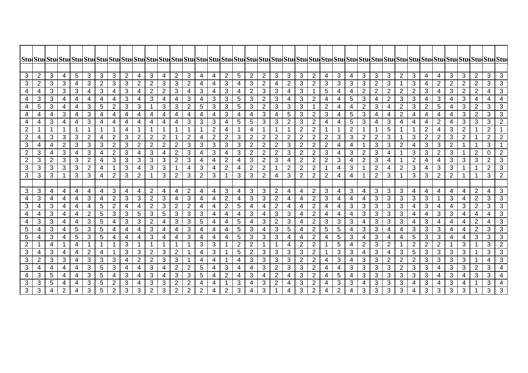| 3                   | $\overline{2}$ | 3              | 4                   | $\sqrt{5}$                   | 3                         | 3                            | 3                       | $\overline{2}$ | 4              | $\mathbf{3}$      | 4              | 2                                | $\mathbf{3}$            | 4              | $\overline{4}$ | 2                        | 5              | 2              | $\overline{2}$          | $\mathfrak{S}$          | 3                            | 3              | $\overline{2}$                   | $\overline{\mathbf{4}}$ | $\mathbf{3}$            | 4                | $\mathfrak{B}$ | 3                 | 3                       | $\overline{2}$      | 3              | 4              | 4                              | 3                   | $\mathbf{3}$            | $\overline{2}$  | 3                            | 3              |
|---------------------|----------------|----------------|---------------------|------------------------------|---------------------------|------------------------------|-------------------------|----------------|----------------|-------------------|----------------|----------------------------------|-------------------------|----------------|----------------|--------------------------|----------------|----------------|-------------------------|-------------------------|------------------------------|----------------|----------------------------------|-------------------------|-------------------------|------------------|----------------|-------------------|-------------------------|---------------------|----------------|----------------|--------------------------------|---------------------|-------------------------|-----------------|------------------------------|----------------|
| 3                   | 2              | 3              | 3                   | 4                            | 3                         | $\overline{2}$               | 3                       | 3              | 2              | $\overline{2}$    | 3              | 3                                | $\overline{2}$          | 4              | 4              | 3                        | 4              | 3              | $\overline{2}$          | 4                       | $\overline{2}$               | 3              | $2^{\circ}$                      | 3                       | 3                       | 3                | 3              | $\overline{2}$    | 3                       |                     | 3              | 4              | 2                              | $\overline{2}$      | $\overline{2}$          | 2               | 3                            | 3              |
| 4                   | 4              | 3              | 3                   | 3                            | $\overline{4}$            | 3                            | $\overline{4}$          | 3              | 4              | $\overline{2}$    | 2              | 3                                | $\overline{\mathbf{4}}$ | 3              | $\overline{4}$ | 3                        | 4              | $\overline{2}$ | 3                       | 3                       | $\overline{4}$               | 3              |                                  | 5                       | 4                       | 4                | $\overline{2}$ | $\overline{2}$    | $\overline{2}$          | $\overline{2}$      | $\overline{2}$ | 3              | 4                              | 3                   | $\overline{2}$          | $\overline{2}$  | 4                            | 3              |
| 4                   | 3              | 3              | $\overline{4}$      | $\overline{4}$               | 4                         | $\overline{4}$               | $\overline{4}$          | 3              | $\overline{4}$ | $\mathbf{3}$      | 4              | $\overline{a}$                   | 3                       | 4              | 3              | 3                        | 5              | $\sqrt{3}$     | $\overline{2}$          | $\sqrt{3}$              | 4                            | 3              | $\overline{2}$                   | 4                       | 4                       | 5                | $\sqrt{3}$     | $\overline{4}$    | $\overline{2}$          | 3                   | 3              | 4              | $\mathbf{3}$                   | 4                   | $\mathbf{3}$            | 4               | 4                            |                |
|                     | 5              | 3              | $\overline{4}$      | 4                            | 3                         | $\overline{5}$               | $\overline{2}$          | 3              | 3              |                   | 3              | $\mathbf{3}$                     | $\overline{2}$          | 5              | 3              | 3                        | 5              | 3              | $\overline{2}$          | $\mathfrak{B}$          | $\mathbf{3}$                 | 3              |                                  | $\overline{2}$          | 4                       | 4                | $\overline{2}$ | 3                 | 4                       | $\overline{2}$      | 3              | $\overline{2}$ | $\overline{5}$                 | 4                   | $\mathbf{3}$            | $\overline{2}$  | $\mathfrak{S}$               | 3              |
| 4                   | 4              | 4              | 3                   | $\overline{a}$               | $\ensuremath{\mathsf{3}}$ | $\overline{\mathcal{A}}$     | $\overline{4}$          | $\overline{4}$ | $\overline{4}$ | 4                 | $\overline{4}$ | $\overline{4}$                   | $\overline{4}$          | $\overline{4}$ | $\overline{4}$ | 3                        | 4              | 4              | 3                       | $\overline{4}$          | 5                            | 3              | $\overline{2}$                   | 3                       | 4                       | 5                | 3              | $\overline{a}$    | 4                       | $\overline{2}$      | 4              | $\overline{4}$ | 4                              | $\overline{4}$      | 3                       | $\overline{2}$  | 3                            | 3              |
| 4                   | 4              | 3              | $\overline{4}$      | 4                            | 3                         | $\overline{4}$               | $\overline{4}$          | 4              | 4              | 4                 | 4              | 4                                | 3                       | $\overline{3}$ | 3              | $\overline{\mathcal{A}}$ | $\overline{5}$ | $\overline{5}$ | $\mathbf{3}$            | $\sqrt{3}$              | $\overline{2}$               | $\mathbf{3}$   | $\overline{2}$                   | 4                       | 4                       | 5                | $\mathfrak{B}$ | $\overline{4}$    | 3                       | $\overline{4}$      | 4              | 4              | $\overline{2}$                 | $\overline{4}$      | $\overline{\omega}$     | $\mathbf{3}$    | 3                            | $\overline{2}$ |
| $\overline{2}$      |                | 1              | $\mathbf 1$         | $\mathbf{1}$                 | 1                         | $\mathbf 1$                  | $\mathbf{1}$            | 4              |                |                   |                |                                  | $\mathbf 1$             |                | $\overline{2}$ | 4                        | $\mathbf 1$    | 4              |                         |                         | $\mathbf 1$                  | $\overline{2}$ | 2                                |                         | -1                      | $\boldsymbol{2}$ | $\mathbf{1}$   | $\mathbf 1$       | $\sqrt{5}$              | $\mathbf{1}$        |                | $\overline{2}$ | 4                              | $\mathbf{3}$        | $\overline{2}$          |                 | $\overline{2}$               |                |
| $\overline{2}$      | 4              | 3              | $\mathfrak{S}$      | 3                            | $\overline{2}$            | $\overline{4}$               | $\overline{2}$          | 3 <sup>1</sup> | 2              | $\overline{2}$    | $\overline{2}$ | $\overline{1}$                   | $\overline{2}$          | 4              | $\overline{2}$ | 2                        | 3              | $\overline{2}$ | $\overline{2}$          | $\overline{2}$          | $\overline{2}$               | 2              | $\overline{2}$                   | $\overline{2}$          | 3                       | $\mathfrak{B}$   | $\overline{2}$ | $\overline{2}$    | 3                       | $\mathbf{1}$        | 3              | 2              | $\overline{2}$                 | 3                   | 2                       | $\mathbf{1}$    | $\overline{2}$               | $\overline{2}$ |
| 3                   | 4              | $\overline{4}$ | $\overline{2}$      | 3                            | 3                         | 3                            | $\overline{2}$          | 3              | 2              | $\overline{2}$    | $\overline{2}$ | $\overline{2}$                   | 3                       | 3              | 3              | 3                        | 3              | $\overline{2}$ | $\overline{2}$          | $\overline{2}$          | 3                            | 2              | $\overline{2}$                   | $\overline{2}$          | $\overline{4}$          | $\overline{4}$   | $\mathbf{1}$   | $\mathbf{3}$      | $\mathbf{3}$            | $\overline{2}$      | 4              | 3              | 3                              | $\overline{2}$      | $\overline{\mathbf{1}}$ | $\mathbf{1}$    | 3                            |                |
| $\overline{2}$      | 3              | 4              | 3                   | 4                            | $\ensuremath{\mathsf{3}}$ | 4                            | $\overline{2}$          | 3              | 4              | $\mathbf{3}$      | 4              | $\overline{2}$                   | $\sqrt{3}$              | 4              | 3              | 4                        | 3              | $\overline{2}$ | $\overline{2}$          | $\overline{2}$          | 3                            | $\overline{2}$ | $\overline{2}$                   | 3                       | 4                       | 3                | $\overline{2}$ | 3                 | 4                       | $\mathbf{1}$        | 3              | 3              | $\overline{2}$                 | $\mathbf{3}$        |                         | $\overline{2}$  | 0                            | $\overline{2}$ |
| $\overline{2}$      | 3              | $\overline{2}$ | 3                   | 3                            | $\boldsymbol{2}$          | 4                            | 3                       | 3              | 3              | 3                 | 3              | $\overline{2}$                   | 3                       | 4              | 4              | 2                        | 4              | $\sqrt{3}$     | $\mathbf{2}$            | 3                       | 4                            | $\overline{c}$ | $\overline{2}$                   | $\mathbf{2}$            | 3                       | $\overline{4}$   | $\overline{2}$ | 3                 | 4                       |                     | $\overline{2}$ | 4              | 4                              | 3                   | 3                       | 3               | $\overline{2}$               | 3              |
| 3                   | 3              | 3              | 3                   | $\sqrt{3}$                   | $\sqrt{2}$                | $\overline{\mathbf{4}}$      | $\mathbf{1}$            | 3              | 4              | $\mathbf{3}$      | $\mathfrak{S}$ | $\overline{1}$                   | $\overline{\mathbf{4}}$ | $\mathfrak{S}$ | 4              | $\overline{2}$           | 4              | $\overline{2}$ | $\sqrt{2}$              |                         | $\overline{2}$               | $\sqrt{2}$     | $\mathbf{2}$                     |                         | $\overline{\mathbf{4}}$ | $\mathfrak{B}$   | $\mathbf 1$    | $\overline{2}$    | $\overline{\mathbf{4}}$ | $\overline{2}$      | 3              | 4              | 3                              | $\sqrt{3}$          | $\overline{\mathbf{1}}$ | $\mathbf{1}$    | $\overline{2}$               | $\overline{3}$ |
| 3                   | 3              | 3              | $\mathbf 1$         | 3                            | 3                         | $\overline{4}$               | $\overline{2}$          | 3              | 2              | 1                 | 3              | $\overline{2}$                   | 3                       | 2              | 3              | $\overline{1}$           | 3              | 3              | $\overline{2}$          | $\overline{\mathbf{4}}$ | 3                            | $\overline{2}$ | $\overline{2}$                   | $\overline{2}$          | 4                       | 4                | 1              | $\overline{2}$    | 3                       | $\mathbf{1}$        | 3              | 3              | $\overline{2}$                 | $\overline{2}$      | -1                      | $\mathbf{1}$    | 3                            | $\overline{2}$ |
|                     |                |                |                     |                              |                           |                              |                         |                |                |                   |                |                                  |                         |                |                |                          |                |                |                         |                         |                              |                |                                  |                         |                         |                  |                |                   |                         |                     |                |                |                                |                     |                         |                 |                              |                |
| 3                   | 3              | 4              | 4                   | 4                            | 4                         | 4                            | 3                       | 4              | 4              | 2                 | $\overline{4}$ | 4                                | $\overline{2}$          | 4              | 4              | 3                        | 4              | 3              | $\mathbf{3}$            | 2                       | 4                            | $\overline{4}$ | $\overline{2}$                   | 3                       | 4                       | 3                | 4              | 3                 | 3                       | 3                   | 4              | 4              | 4                              | 4                   | $\overline{4}$          | $\overline{2}$  | 4                            | 3              |
| 4                   | 3              | $\overline{4}$ | $\overline{4}$      | $\overline{4}$               | 3                         | $\overline{4}$               | $\overline{2}$          | 3              | 3              | $\overline{2}$    | $\mathfrak{S}$ | $\overline{a}$                   | 3                       | 4              | 4              | $\overline{2}$           | $\overline{4}$ | $\mathbf{3}$   | $\mathbf{3}$            | $\sqrt{2}$              | $\overline{4}$               | $\overline{4}$ | $\overline{2}$                   | 3                       | $\overline{4}$          | $\overline{4}$   | 4              | 3                 | $\mathbf{3}$            | 3                   | 3              | 3              |                                | 3                   | $\overline{4}$          | $\sqrt{2}$      | $\mathfrak{S}$               | $\overline{3}$ |
| 3                   | 4              | 3              | 4                   | $\overline{\mathbf{4}}$      | $\overline{\mathcal{A}}$  | $\overline{5}$               | $\overline{2}$          | 4              | 4              | $\overline{2}$    | $\mathbf{3}$   | $\overline{2}$                   | $\overline{2}$          | 4              | 4              | $\overline{2}$           | 5              | $\overline{4}$ | $\overline{\mathbf{4}}$ | $\overline{2}$          | $\overline{\mathbf{4}}$      | 4              | 2                                | 4                       | 4                       | $\mathbf{3}$     | $\mathbf{3}$   | 3                 | $\mathbf{3}$            | $\mathfrak{S}$      | 4              | $\mathfrak{B}$ | 4                              | 4                   | $\mathbf{3}$            | $\overline{2}$  | 3                            | 3              |
| 4                   | 4              | 3              | 4                   | 4                            | $\overline{2}$            | $\sqrt{5}$                   | 3                       | 3 <sup>1</sup> | 5              | 3                 | 5              | 3                                | 3                       | 3              | 4              | 4                        | 4              | 3              | 4                       | 3                       | 3                            | 4              | $\overline{2}$                   | 4                       | 4                       | $\overline{4}$   | 3              | 3                 | $\sqrt{3}$              | 3                   | 4              | 4              | 3                              | 3                   | 4                       | 4               | 4                            | 3              |
| 4                   | 3              | 3              | 4                   | 4                            | $\overline{3}$            | $\overline{5}$               | $\overline{\mathbf{4}}$ | 3              | 3              | $\overline{2}$    | 4              | $\overline{3}$                   | 3                       | $\overline{5}$ | 4              | 4                        | $\overline{5}$ | $\overline{4}$ | 3                       | $\overline{2}$          | $\overline{3}$               | 4              | $\overline{2}$                   | 3                       | 3                       | 3                | $\overline{4}$ | 3                 | $\overline{3}$          | $\mathbf{3}$        | 4              | $\mathfrak{B}$ | 4                              | $\overline{4}$      | $\overline{\mathbf{4}}$ | $\overline{2}$  | 4                            | $\overline{3}$ |
| $\overline{5}$<br>5 | 4<br>4         | 3<br>3         | 4<br>$\overline{4}$ | $\sqrt{5}$<br>$\overline{5}$ | 3<br>3                    | $\sqrt{5}$<br>$\overline{5}$ | 4<br>$\overline{4}$     | 4<br>4         | 4<br>4         | $\mathbf{3}$<br>3 | 4<br>4         | $\overline{4}$<br>$\overline{a}$ | 3<br>3                  | 4<br>4         | 4<br>4         | 4<br>$\overline{4}$      | 5<br>5         | 3<br>3         | $\overline{4}$<br>3     | 3<br>$\mathfrak{B}$     | $\sqrt{5}$<br>$\overline{4}$ | 4<br>4         | $\overline{2}$<br>$\overline{2}$ | 5                       | 5<br>5                  | 4<br>3           | 3<br>4         | 3<br>$\mathbf{3}$ | 4<br>4                  | 4<br>$\overline{4}$ | 3<br>5         | 3<br>3         | $\mathbf{3}$<br>$\overline{3}$ | $\overline{4}$<br>4 | 4                       | $\sqrt{2}$<br>3 | $\sqrt{3}$<br>$\overline{3}$ | 3<br>3         |
| 2                   |                | 4              | $\mathbf{1}$        | $\overline{4}$               | 1                         | $\mathbf{1}$                 | $\mathbf{1}$            | 3              | $\mathbf 1$    | $\overline{1}$    | 1              | $\overline{1}$                   | $\mathbf{1}$            | 3              | 3              | $\mathbf 1$              | $\overline{2}$ | $\overline{2}$ | $\mathbf{1}$            |                         | $\overline{\mathbf{4}}$      | $\overline{2}$ | $\overline{2}$                   | 4                       | 5                       | $\overline{4}$   | $\overline{2}$ | 3                 | $\overline{2}$          | $\mathbf{1}$        | $\overline{2}$ | $\overline{2}$ | $\overline{2}$                 |                     | 4<br>3                  | $\mathbf 1$     | 3                            | $\overline{2}$ |
| 3                   | 4              | 3              | 4                   | 4                            | $\overline{2}$            | 4                            | $\mathbf 1$             | 3              | 3              | $\overline{2}$    | 3              | $\overline{2}$                   | $\mathbf{1}$            | 4              | 3              | $\mathbf{1}$             | $\overline{5}$ | $\overline{2}$ | $\mathbf{3}$            | $\mathbf{3}$            | $\sqrt{3}$                   | 3              | $\overline{2}$                   |                         | 3                       | 3                | 4              | 3                 | 4                       | 3                   | 5              | 3              | $\mathbf{3}$                   | $\mathbf{3}$        | 3                       | $\mathbf{1}$    | 3                            | 3              |
| 3                   | $\overline{c}$ | 3              | 3                   | 4                            | 3                         | 3                            | 3                       | 4              | $\overline{2}$ | $\overline{2}$    | 3              | 3                                |                         | $\overline{4}$ | 4              | -1                       | 4              | 3              | $\sqrt{3}$              | $\sqrt{3}$              | 3                            | $\overline{c}$ | $\overline{2}$                   | 4                       | 3                       | $\overline{4}$   | $\sqrt{3}$     | 3                 | $\overline{2}$          | $\overline{2}$      | $\overline{2}$ | 3              | 3                              | $\mathbf{3}$        | $\mathbf{3}$            | $\mathbf{1}$    | 4                            | 3              |
| 3                   | 4              | 4              | $\overline{4}$      | $\overline{4}$               | $\overline{\omega}$       | $\overline{5}$               | $\overline{3}$          | 4              | $\overline{4}$ | $\mathbf{3}$      | 4              | $\overline{2}$                   | $\overline{2}$          | 5              | 4              | $\mathbf{3}$             | 4              | $\overline{4}$ | $\mathbf{3}$            | $\sqrt{2}$              | $\overline{3}$               | $\overline{3}$ | $\overline{2}$                   | 4                       | $\overline{4}$          | $\mathbf{3}$     | $\mathbf{3}$   | $\mathbf{3}$      | $\overline{3}$          | $\overline{2}$      | $\overline{3}$ | $\overline{3}$ | 4                              | $\mathbf{3}$        | $\overline{3}$          | 2               | $\mathbf{3}$                 | $\overline{4}$ |
| 4                   | 3              | $\overline{5}$ | 4                   | 4                            | $\mathbf{3}$              | $\overline{5}$               | $\overline{4}$          | $\overline{3}$ | $\overline{4}$ | $\overline{3}$    | 4              | $\overline{3}$                   | 3                       | 5              | 4              | 2                        | 4              | 3              | 4                       | $\overline{2}$          | $\overline{4}$               | $\overline{3}$ | $\overline{2}$                   | $\overline{4}$          | $\overline{5}$          | 4                | $\mathfrak{B}$ | 3                 | 3                       | $\overline{3}$      | 3              | 3              | 4                              | $\overline{3}$      | $\overline{4}$          | 3               | $\mathbf{3}$                 |                |
| 3                   | 3              | 5              | $\overline{4}$      | 4                            | 3                         | 5                            | $\overline{2}$          | 3              | 4              | 3                 | 3              | $\overline{2}$                   | $\overline{2}$          | 4              | 4              | -1                       | 3              | 4              | 3                       | $\overline{2}$          | 4                            | 3              | 2                                | 4                       | 3                       | 3                | 4              | 3                 | 3                       | 3                   | 4              | 3              | 4                              | 3                   | 4                       |                 | 3                            |                |
| $\mathbf{3}$        | 3              | 4              | $\overline{2}$      | 4                            | 3                         | 5                            | $\overline{2}$          | 3              | 3              | $\mathbf{2}$      | 3              | 2                                | $\overline{2}$          | $\overline{2}$ | 4              | 2                        | 3              | 4              | 3                       |                         | 4                            | 3              | $\overline{2}$                   | 4                       | $\overline{2}$          | 4                | 3              | 3                 | 3                       | 3                   | 4              | 3              | 3                              | 3                   | 3                       | $\mathbf{1}$    | 3                            | 3              |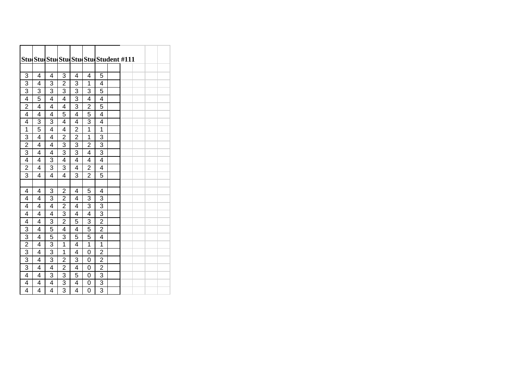|                |   |   |                         | Stu Stu Stu Stu Stu Stu Stu dent #111 |                |                |  |  |  |
|----------------|---|---|-------------------------|---------------------------------------|----------------|----------------|--|--|--|
|                |   |   |                         |                                       |                |                |  |  |  |
| 3              | 4 | 4 | 3                       | 4                                     | 4              | 5              |  |  |  |
| $\overline{3}$ | 4 | 3 | $\overline{2}$          | 3                                     | 1              | 4              |  |  |  |
| 3              | 3 | 3 | 3                       | 3                                     | 3              | 5              |  |  |  |
| $\overline{4}$ | 5 | 4 | 4                       | 3                                     | 4              | 4              |  |  |  |
| $\overline{2}$ | 4 | 4 | 4                       | 3                                     | $\overline{2}$ | 5              |  |  |  |
| 4              | 4 | 4 | 5                       | 4                                     | $\overline{5}$ | 4              |  |  |  |
| 4              | 3 | 3 | 4                       | 4                                     | 3              | 4              |  |  |  |
| 1              | 5 | 4 | 4                       | $\overline{2}$                        | 1              | 1              |  |  |  |
| 3              | 4 | 4 | $\overline{2}$          | $\overline{2}$                        | $\overline{1}$ | 3              |  |  |  |
| $\overline{2}$ | 4 | 4 | 3                       | 3                                     | $\overline{2}$ | 3              |  |  |  |
| $\overline{3}$ | 4 | 4 | 3                       | 3                                     | 4              | $\overline{3}$ |  |  |  |
| 4              | 4 | 3 | 4                       | 4                                     | 4              | 4              |  |  |  |
| $\overline{2}$ | 4 | 3 | 3                       | $\overline{4}$                        | $\overline{2}$ | 4              |  |  |  |
| 3              | 4 | 4 | 4                       | 3                                     | 2              | 5              |  |  |  |
|                |   |   |                         |                                       |                |                |  |  |  |
| 4              | 4 | 3 | $\overline{c}$          | 4                                     | 5              | 4              |  |  |  |
| 4              | 4 | 3 | $\overline{2}$          | 4                                     | 3              | 3              |  |  |  |
| 4              | 4 | 4 | $\overline{2}$          | 4                                     | 3              | 3              |  |  |  |
| 4              | 4 | 4 | 3                       | $\overline{4}$                        | $\overline{4}$ | $\overline{3}$ |  |  |  |
| 4              | 4 | 3 | $\overline{c}$          | 5                                     | 3              | $\overline{2}$ |  |  |  |
| 3              | 4 | 5 | 4                       | 4                                     | 5              | $\overline{c}$ |  |  |  |
| $\overline{3}$ | 4 | 5 | 3                       | 5                                     | 5              | 4              |  |  |  |
| $\overline{2}$ | 4 | 3 | $\mathbf{1}$            | $\overline{4}$                        | $\overline{1}$ | 1              |  |  |  |
| $\overline{3}$ | 4 | 3 | 1                       | 4                                     | 0              | $\overline{2}$ |  |  |  |
| $\overline{3}$ | 4 | 3 | $\overline{2}$          | 3                                     | 0              | $\overline{2}$ |  |  |  |
| 3              | 4 | 4 | $\overline{\mathbf{c}}$ | 4                                     | $\overline{0}$ | $\overline{2}$ |  |  |  |
| $\overline{4}$ | 4 | 3 | 3                       | 5                                     | 0              | 3              |  |  |  |
| 4              | 4 | 4 | 3                       | 4                                     | 0              | 3              |  |  |  |
| $\overline{4}$ | 4 | 4 | $\overline{3}$          | $\overline{4}$                        | $\overline{0}$ | $\overline{3}$ |  |  |  |